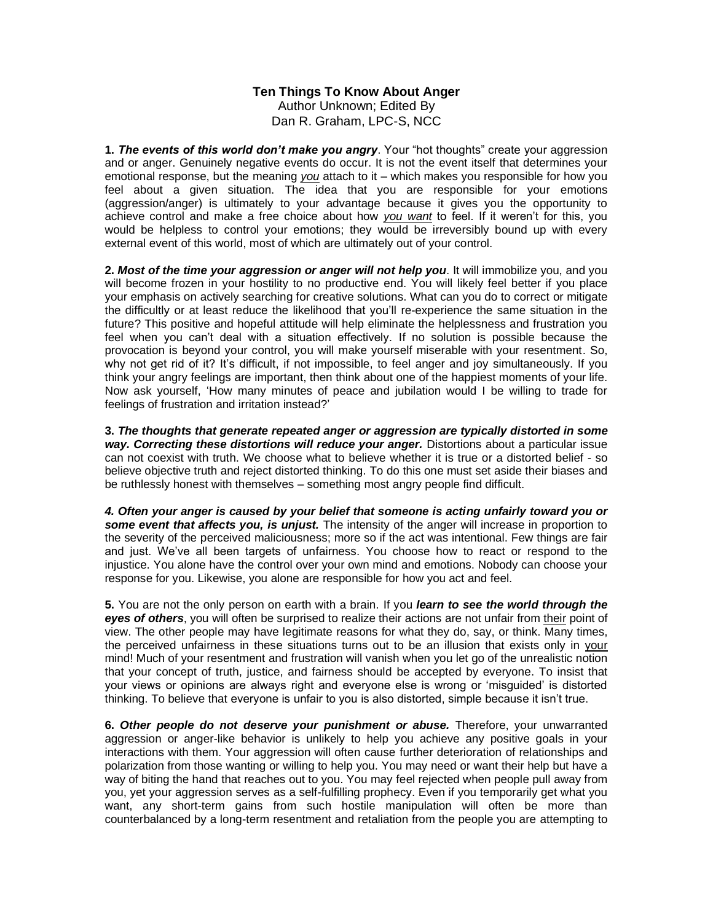## **Ten Things To Know About Anger** Author Unknown; Edited By

Dan R. Graham, LPC-S, NCC

**1.** *The events of this world don't make you angry*. Your "hot thoughts" create your aggression and or anger. Genuinely negative events do occur. It is not the event itself that determines your emotional response, but the meaning *you* attach to it – which makes you responsible for how you feel about a given situation. The idea that you are responsible for your emotions (aggression/anger) is ultimately to your advantage because it gives you the opportunity to achieve control and make a free choice about how *you want* to feel. If it weren't for this, you would be helpless to control your emotions; they would be irreversibly bound up with every external event of this world, most of which are ultimately out of your control.

**2.** *Most of the time your aggression or anger will not help you*. It will immobilize you, and you will become frozen in your hostility to no productive end. You will likely feel better if you place your emphasis on actively searching for creative solutions. What can you do to correct or mitigate the difficultly or at least reduce the likelihood that you'll re-experience the same situation in the future? This positive and hopeful attitude will help eliminate the helplessness and frustration you feel when you can't deal with a situation effectively. If no solution is possible because the provocation is beyond your control, you will make yourself miserable with your resentment. So, why not get rid of it? It's difficult, if not impossible, to feel anger and joy simultaneously. If you think your angry feelings are important, then think about one of the happiest moments of your life. Now ask yourself, 'How many minutes of peace and jubilation would I be willing to trade for feelings of frustration and irritation instead?'

**3.** *The thoughts that generate repeated anger or aggression are typically distorted in some way. Correcting these distortions will reduce your anger.* Distortions about a particular issue can not coexist with truth. We choose what to believe whether it is true or a distorted belief - so believe objective truth and reject distorted thinking. To do this one must set aside their biases and be ruthlessly honest with themselves – something most angry people find difficult.

*4. Often your anger is caused by your belief that someone is acting unfairly toward you or some event that affects you, is unjust.* The intensity of the anger will increase in proportion to the severity of the perceived maliciousness; more so if the act was intentional. Few things are fair and just. We've all been targets of unfairness. You choose how to react or respond to the injustice. You alone have the control over your own mind and emotions. Nobody can choose your response for you. Likewise, you alone are responsible for how you act and feel.

**5.** You are not the only person on earth with a brain. If you *learn to see the world through the eyes of others*, you will often be surprised to realize their actions are not unfair from their point of view. The other people may have legitimate reasons for what they do, say, or think. Many times, the perceived unfairness in these situations turns out to be an illusion that exists only in your mind! Much of your resentment and frustration will vanish when you let go of the unrealistic notion that your concept of truth, justice, and fairness should be accepted by everyone. To insist that your views or opinions are always right and everyone else is wrong or 'misguided' is distorted thinking. To believe that everyone is unfair to you is also distorted, simple because it isn't true.

**6.** *Other people do not deserve your punishment or abuse.* Therefore, your unwarranted aggression or anger-like behavior is unlikely to help you achieve any positive goals in your interactions with them. Your aggression will often cause further deterioration of relationships and polarization from those wanting or willing to help you. You may need or want their help but have a way of biting the hand that reaches out to you. You may feel rejected when people pull away from you, yet your aggression serves as a self-fulfilling prophecy. Even if you temporarily get what you want, any short-term gains from such hostile manipulation will often be more than counterbalanced by a long-term resentment and retaliation from the people you are attempting to